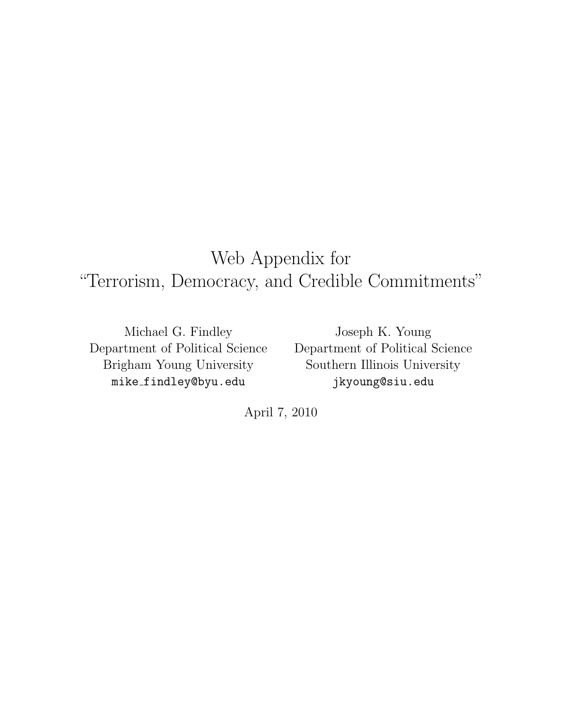# Web Appendix for "Terrorism, Democracy, and Credible Commitments"

Michael G. Findley Department of Political Science Brigham Young University mike findley@byu.edu

Joseph K. Young Department of Political Science Southern Illinois University jkyoung@siu.edu

April 7, 2010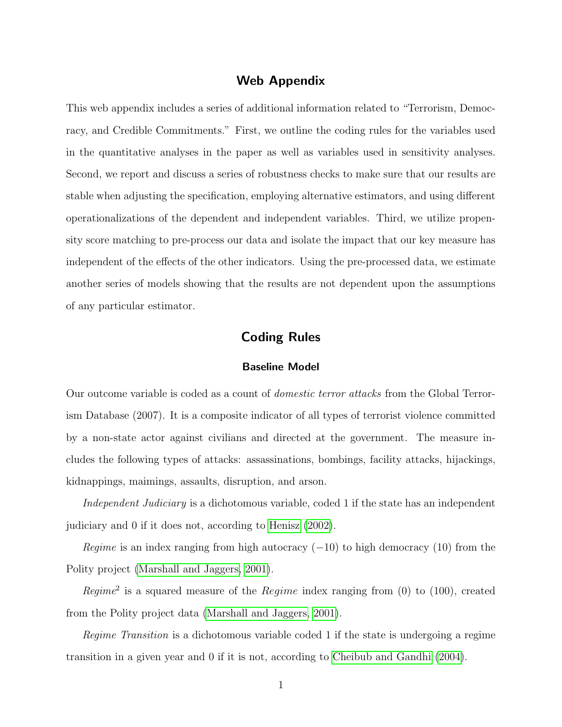## Web Appendix

This web appendix includes a series of additional information related to "Terrorism, Democracy, and Credible Commitments." First, we outline the coding rules for the variables used in the quantitative analyses in the paper as well as variables used in sensitivity analyses. Second, we report and discuss a series of robustness checks to make sure that our results are stable when adjusting the specification, employing alternative estimators, and using different operationalizations of the dependent and independent variables. Third, we utilize propensity score matching to pre-process our data and isolate the impact that our key measure has independent of the effects of the other indicators. Using the pre-processed data, we estimate another series of models showing that the results are not dependent upon the assumptions of any particular estimator.

## Coding Rules

#### Baseline Model

Our outcome variable is coded as a count of domestic terror attacks from the Global Terrorism Database (2007). It is a composite indicator of all types of terrorist violence committed by a non-state actor against civilians and directed at the government. The measure includes the following types of attacks: assassinations, bombings, facility attacks, hijackings, kidnappings, maimings, assaults, disruption, and arson.

Independent Judiciary is a dichotomous variable, coded 1 if the state has an independent judiciary and 0 if it does not, according to [Henisz](#page-13-0) [\(2002\)](#page-13-0).

Regime is an index ranging from high autocracy  $(-10)$  to high democracy  $(10)$  from the Polity project [\(Marshall and Jaggers, 2001\)](#page-14-0).

Regime<sup>2</sup> is a squared measure of the Regime index ranging from  $(0)$  to  $(100)$ , created from the Polity project data [\(Marshall and Jaggers, 2001\)](#page-14-0).

Regime Transition is a dichotomous variable coded 1 if the state is undergoing a regime transition in a given year and 0 if it is not, according to [Cheibub and Gandhi](#page-13-1) [\(2004\)](#page-13-1).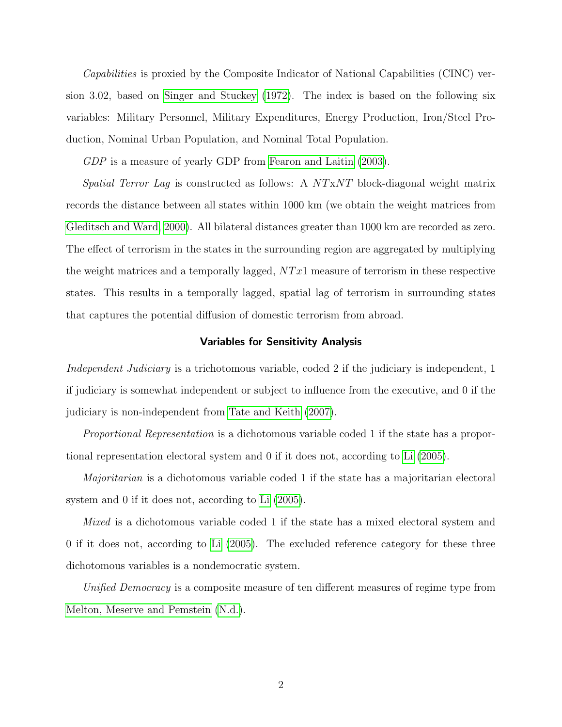Capabilities is proxied by the Composite Indicator of National Capabilities (CINC) version 3.02, based on [Singer and Stuckey](#page-14-1) [\(1972\)](#page-14-1). The index is based on the following six variables: Military Personnel, Military Expenditures, Energy Production, Iron/Steel Production, Nominal Urban Population, and Nominal Total Population.

GDP is a measure of yearly GDP from [Fearon and Laitin](#page-13-2) [\(2003\)](#page-13-2).

Spatial Terror Lag is constructed as follows: A  $NTxNT$  block-diagonal weight matrix records the distance between all states within 1000 km (we obtain the weight matrices from [Gleditsch and Ward, 2000\)](#page-13-3). All bilateral distances greater than 1000 km are recorded as zero. The effect of terrorism in the states in the surrounding region are aggregated by multiplying the weight matrices and a temporally lagged,  $NTx1$  measure of terrorism in these respective states. This results in a temporally lagged, spatial lag of terrorism in surrounding states that captures the potential diffusion of domestic terrorism from abroad.

#### Variables for Sensitivity Analysis

Independent Judiciary is a trichotomous variable, coded 2 if the judiciary is independent, 1 if judiciary is somewhat independent or subject to influence from the executive, and 0 if the judiciary is non-independent from [Tate and Keith](#page-14-2) [\(2007\)](#page-14-2).

Proportional Representation is a dichotomous variable coded 1 if the state has a proportional representation electoral system and 0 if it does not, according to [Li](#page-13-4) [\(2005\)](#page-13-4).

Majoritarian is a dichotomous variable coded 1 if the state has a majoritarian electoral system and 0 if it does not, according to [Li](#page-13-4) [\(2005\)](#page-13-4).

Mixed is a dichotomous variable coded 1 if the state has a mixed electoral system and 0 if it does not, according to [Li](#page-13-4) [\(2005\)](#page-13-4). The excluded reference category for these three dichotomous variables is a nondemocratic system.

Unified Democracy is a composite measure of ten different measures of regime type from [Melton, Meserve and Pemstein](#page-14-3) [\(N.d.\)](#page-14-3).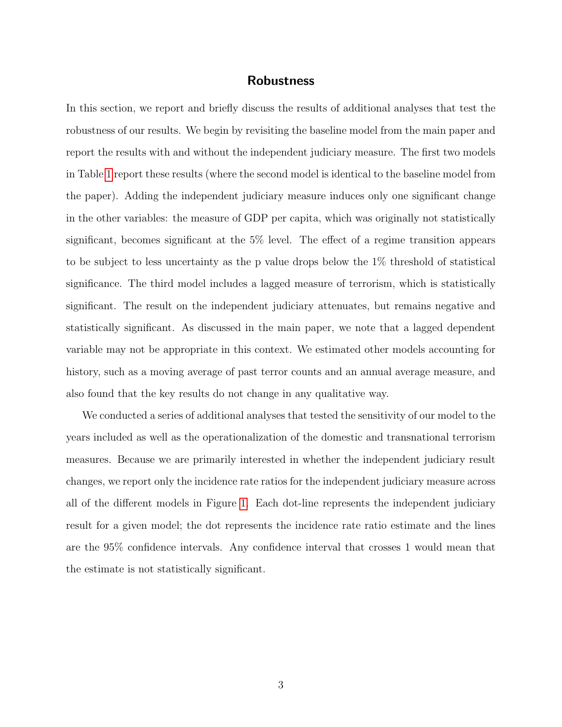## Robustness

In this section, we report and briefly discuss the results of additional analyses that test the robustness of our results. We begin by revisiting the baseline model from the main paper and report the results with and without the independent judiciary measure. The first two models in Table [1](#page-4-0) report these results (where the second model is identical to the baseline model from the paper). Adding the independent judiciary measure induces only one significant change in the other variables: the measure of GDP per capita, which was originally not statistically significant, becomes significant at the 5% level. The effect of a regime transition appears to be subject to less uncertainty as the p value drops below the 1% threshold of statistical significance. The third model includes a lagged measure of terrorism, which is statistically significant. The result on the independent judiciary attenuates, but remains negative and statistically significant. As discussed in the main paper, we note that a lagged dependent variable may not be appropriate in this context. We estimated other models accounting for history, such as a moving average of past terror counts and an annual average measure, and also found that the key results do not change in any qualitative way.

We conducted a series of additional analyses that tested the sensitivity of our model to the years included as well as the operationalization of the domestic and transnational terrorism measures. Because we are primarily interested in whether the independent judiciary result changes, we report only the incidence rate ratios for the independent judiciary measure across all of the different models in Figure [1.](#page-5-0) Each dot-line represents the independent judiciary result for a given model; the dot represents the incidence rate ratio estimate and the lines are the 95% confidence intervals. Any confidence interval that crosses 1 would mean that the estimate is not statistically significant.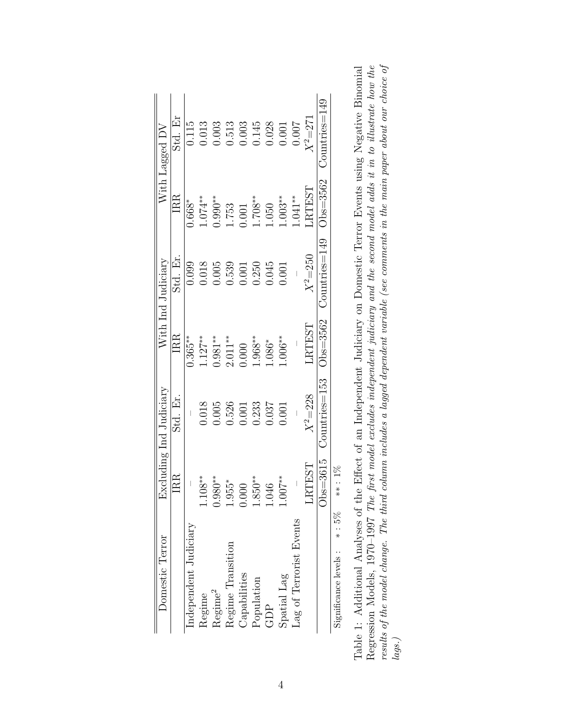| Domestic Terror                        |                          | Excluding Ind Judiciary |                 | With Ind Judiciary   |                                  | With Lagged DV                                                           |
|----------------------------------------|--------------------------|-------------------------|-----------------|----------------------|----------------------------------|--------------------------------------------------------------------------|
|                                        | $_{\rm{BR}}$             | Std. Er.                | IRR             | Std. Er.             | $_{\rm IRR}$                     | Std. Er                                                                  |
| Independent Judiciary                  |                          |                         | $0.365**$       | 0.099                | 1.668*                           | 0.115                                                                    |
| Regime                                 | $108***$                 | 0.018                   | $1.127***$      | 0.018                | $1.074***$                       | 0.013                                                                    |
| $\mathrm{Regime}^2$                    | $0.980**$                | 0.005                   | $0.981**$       | 0.005                | $0.990**$                        | 0.003                                                                    |
| Regime Transition                      | 55*<br>$\frac{1}{2}$     | 0.526                   | $2.011***$      | 0.539                | 1.753                            |                                                                          |
| Capabilities                           | $\sum_{i=1}^{n}$         | 0.001                   | 000.            | 0.001                |                                  |                                                                          |
| Population                             | $$50**$<br>$\frac{8}{1}$ | 0.233                   | $1.968***$      | 0.250                | $\frac{1.708}{1.708**}$<br>1.050 |                                                                          |
| GDP                                    | 1.046                    | 0.037                   | $1.086*$        | 0.045                |                                  |                                                                          |
| Spatial Lag                            | 00.1                     | 1.001                   | $1.006***$      | 0.001                | $1.003**$                        | $\begin{array}{c} 0.513 \\ 0.003 \\ 0.145 \\ 0.028 \\ 0.001 \end{array}$ |
| Lag of Terrorist Events                |                          |                         |                 |                      | $1.041***$                       | 1.007                                                                    |
|                                        | LRTEST                   | $X^2 = 228$             | LRTTEST         | $X^2 = 250$          | RTEST                            | $X^2 = 27$                                                               |
|                                        | $Obs = 3615$             | Countries=153           | $)$ bs $=$ 3562 | $J$ ountries $=$ 149 | $\rm{Obs}{=}\rm{3562}$           | Countries=149                                                            |
| $\frac{8}{3}$<br>Significance levels : | $***:1\%$                |                         |                 |                      |                                  |                                                                          |

<span id="page-4-0"></span>

| Table 1: Additional Analyses of the Effect of an Independent Judiciary on Domestic Terror Events using Negative Binomial | Regression Models, 1970–1997 The first model excludes independent judiciary and the second model adds it in to illustrate how the | results of the model change. The third column includes a lagged dependent variable (see comments in the main paper about our choice of | $\overline{ags.}$ |  |
|--------------------------------------------------------------------------------------------------------------------------|-----------------------------------------------------------------------------------------------------------------------------------|----------------------------------------------------------------------------------------------------------------------------------------|-------------------|--|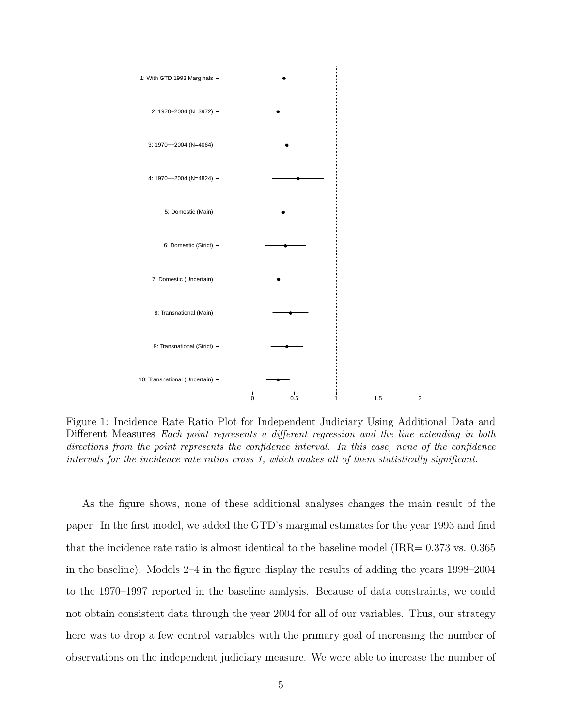

<span id="page-5-0"></span>Figure 1: Incidence Rate Ratio Plot for Independent Judiciary Using Additional Data and Different Measures Each point represents a different regression and the line extending in both directions from the point represents the confidence interval. In this case, none of the confidence intervals for the incidence rate ratios cross 1, which makes all of them statistically significant.

As the figure shows, none of these additional analyses changes the main result of the paper. In the first model, we added the GTD's marginal estimates for the year 1993 and find that the incidence rate ratio is almost identical to the baseline model ( $IRR = 0.373$  vs. 0.365 in the baseline). Models 2–4 in the figure display the results of adding the years 1998–2004 to the 1970–1997 reported in the baseline analysis. Because of data constraints, we could not obtain consistent data through the year 2004 for all of our variables. Thus, our strategy here was to drop a few control variables with the primary goal of increasing the number of observations on the independent judiciary measure. We were able to increase the number of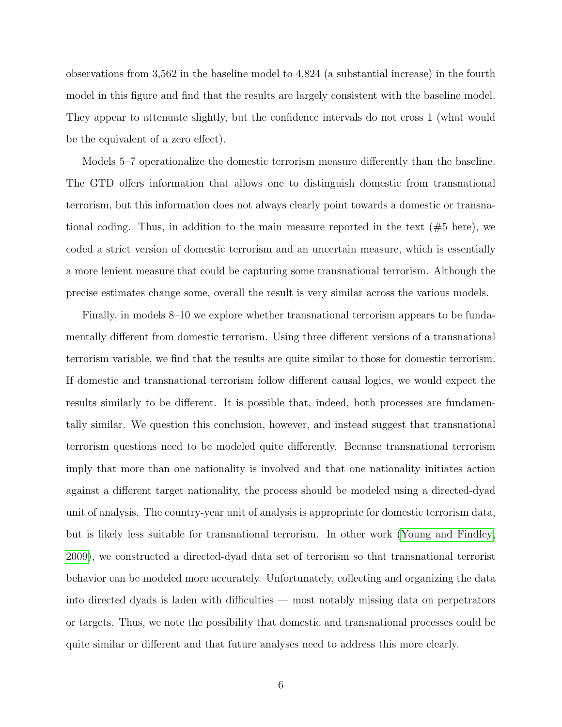observations from 3,562 in the baseline model to 4,824 (a substantial increase) in the fourth model in this figure and find that the results are largely consistent with the baseline model. They appear to attenuate slightly, but the confidence intervals do not cross 1 (what would be the equivalent of a zero effect).

Models 5–7 operationalize the domestic terrorism measure differently than the baseline. The GTD offers information that allows one to distinguish domestic from transnational terrorism, but this information does not always clearly point towards a domestic or transnational coding. Thus, in addition to the main measure reported in the text  $(\#5 \text{ here})$ , we coded a strict version of domestic terrorism and an uncertain measure, which is essentially a more lenient measure that could be capturing some transnational terrorism. Although the precise estimates change some, overall the result is very similar across the various models.

Finally, in models 8–10 we explore whether transnational terrorism appears to be fundamentally different from domestic terrorism. Using three different versions of a transnational terrorism variable, we find that the results are quite similar to those for domestic terrorism. If domestic and transnational terrorism follow different causal logics, we would expect the results similarly to be different. It is possible that, indeed, both processes are fundamentally similar. We question this conclusion, however, and instead suggest that transnational terrorism questions need to be modeled quite differently. Because transnational terrorism imply that more than one nationality is involved and that one nationality initiates action against a different target nationality, the process should be modeled using a directed-dyad unit of analysis. The country-year unit of analysis is appropriate for domestic terrorism data, but is likely less suitable for transnational terrorism. In other work [\(Young and Findley,](#page-15-0) [2009\)](#page-15-0), we constructed a directed-dyad data set of terrorism so that transnational terrorist behavior can be modeled more accurately. Unfortunately, collecting and organizing the data into directed dyads is laden with difficulties — most notably missing data on perpetrators or targets. Thus, we note the possibility that domestic and transnational processes could be quite similar or different and that future analyses need to address this more clearly.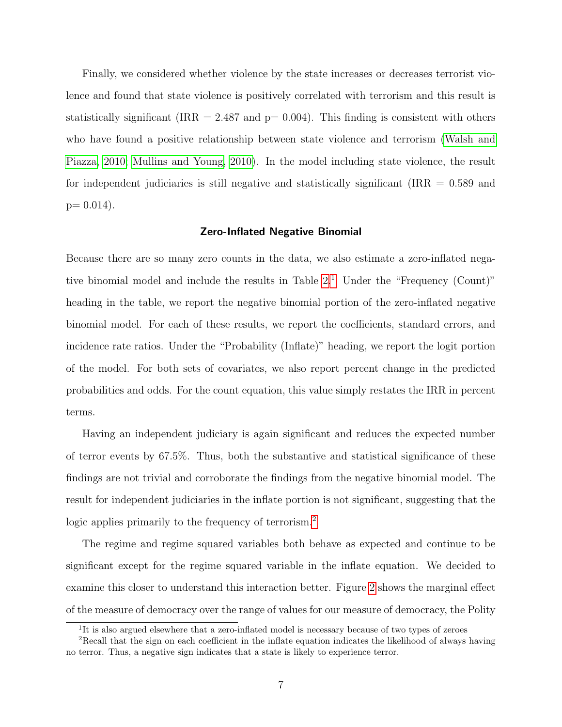Finally, we considered whether violence by the state increases or decreases terrorist violence and found that state violence is positively correlated with terrorism and this result is statistically significant (IRR = 2.487 and  $p= 0.004$ ). This finding is consistent with others who have found a positive relationship between state violence and terrorism [\(Walsh and](#page-14-4) [Piazza, 2010;](#page-14-4) [Mullins and Young, 2010\)](#page-14-5). In the model including state violence, the result for independent judiciaries is still negative and statistically significant (IRR  $= 0.589$  and  $p= 0.014$ ).

#### Zero-Inflated Negative Binomial

Because there are so many zero counts in the data, we also estimate a zero-inflated negative binomial model and include the results in Table  $2<sup>1</sup>$  $2<sup>1</sup>$  $2<sup>1</sup>$  Under the "Frequency (Count)" heading in the table, we report the negative binomial portion of the zero-inflated negative binomial model. For each of these results, we report the coefficients, standard errors, and incidence rate ratios. Under the "Probability (Inflate)" heading, we report the logit portion of the model. For both sets of covariates, we also report percent change in the predicted probabilities and odds. For the count equation, this value simply restates the IRR in percent terms.

Having an independent judiciary is again significant and reduces the expected number of terror events by 67.5%. Thus, both the substantive and statistical significance of these findings are not trivial and corroborate the findings from the negative binomial model. The result for independent judiciaries in the inflate portion is not significant, suggesting that the logic applies primarily to the frequency of terrorism.<sup>[2](#page-7-1)</sup>

The regime and regime squared variables both behave as expected and continue to be significant except for the regime squared variable in the inflate equation. We decided to examine this closer to understand this interaction better. Figure [2](#page-9-0) shows the marginal effect of the measure of democracy over the range of values for our measure of democracy, the Polity

<span id="page-7-1"></span><span id="page-7-0"></span><sup>&</sup>lt;sup>1</sup>It is also argued elsewhere that a zero-inflated model is necessary because of two types of zeroes

<sup>&</sup>lt;sup>2</sup>Recall that the sign on each coefficient in the inflate equation indicates the likelihood of always having no terror. Thus, a negative sign indicates that a state is likely to experience terror.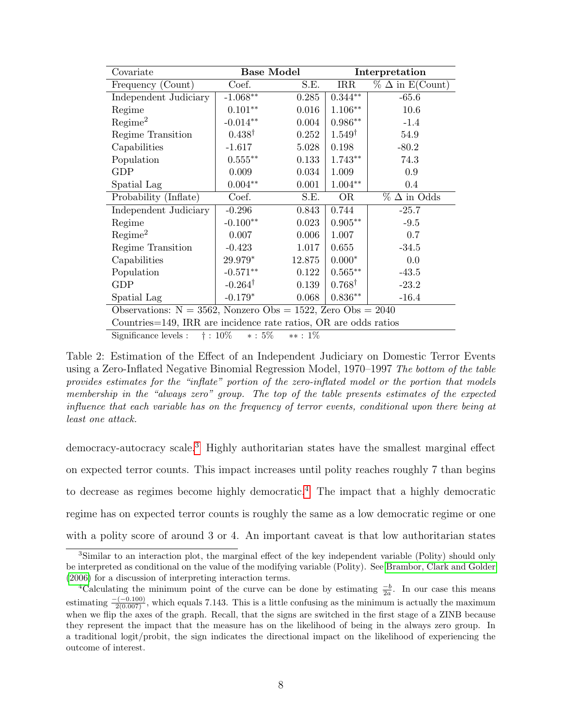| Covariate                                                        | <b>Base Model</b>  |        |                   | Interpretation            |  |  |
|------------------------------------------------------------------|--------------------|--------|-------------------|---------------------------|--|--|
| Frequency (Count)                                                | Coef.              | S.E.   | $\rm IRR$         | $\%$ $\Delta$ in E(Count) |  |  |
| Independent Judiciary                                            | $-1.068**$         | 0.285  | $0.344**$         | $-65.6$                   |  |  |
| Regime                                                           | $0.101**$          | 0.016  | $1.106***$        | 10.6                      |  |  |
| Regime <sup>2</sup>                                              | $-0.014**$         | 0.004  | $0.986**$         | $-1.4$                    |  |  |
| Regime Transition                                                | $0.438^{\dagger}$  | 0.252  | $1.549^{\dagger}$ | 54.9                      |  |  |
| Capabilities                                                     | $-1.617$           | 5.028  | 0.198             | $-80.2$                   |  |  |
| Population                                                       | $0.555***$         | 0.133  | $1.743**$         | 74.3                      |  |  |
| <b>GDP</b>                                                       | 0.009              | 0.034  | 1.009             | 0.9                       |  |  |
| Spatial Lag                                                      | $0.004**$          | 0.001  | $1.004**$         | 0.4                       |  |  |
| Probability (Inflate)                                            | Coef.              | S.E.   | <b>OR</b>         | $\%$ $\Delta$ in Odds     |  |  |
| Independent Judiciary                                            | $-0.296$           | 0.843  | 0.744             | $-25.7$                   |  |  |
| Regime                                                           | $-0.100**$         | 0.023  | $0.905**$         | $-9.5$                    |  |  |
| Regime <sup>2</sup>                                              | 0.007              | 0.006  | 1.007             | 0.7                       |  |  |
| Regime Transition                                                | $-0.423$           | 1.017  | 0.655             | $-34.5$                   |  |  |
| Capabilities                                                     | 29.979*            | 12.875 | $0.000*$          | 0.0                       |  |  |
| Population                                                       | $-0.571**$         | 0.122  | $0.565**$         | $-43.5$                   |  |  |
| GDP                                                              | $-0.264^{\dagger}$ | 0.139  | $0.768^{\dagger}$ | $-23.2$                   |  |  |
| Spatial Lag                                                      | $-0.179*$          | 0.068  | $0.836**$         | $-16.4$                   |  |  |
| Observations: $N = 3562$ , Nonzero Obs = 1522, Zero Obs = 2040   |                    |        |                   |                           |  |  |
| Countries=149, IRR are incidence rate ratios, OR are odds ratios |                    |        |                   |                           |  |  |
|                                                                  |                    |        |                   |                           |  |  |

<span id="page-8-0"></span>Significance levels :  $\dagger$  : 10%  $*$  : 5%  $*$  : 1%

Table 2: Estimation of the Effect of an Independent Judiciary on Domestic Terror Events using a Zero-Inflated Negative Binomial Regression Model, 1970–1997 The bottom of the table provides estimates for the "inflate" portion of the zero-inflated model or the portion that models membership in the "always zero" group. The top of the table presents estimates of the expected influence that each variable has on the frequency of terror events, conditional upon there being at least one attack.

democracy-autocracy scale.[3](#page-8-1) Highly authoritarian states have the smallest marginal effect on expected terror counts. This impact increases until polity reaches roughly 7 than begins to decrease as regimes become highly democratic.<sup>[4](#page-8-2)</sup> The impact that a highly democratic regime has on expected terror counts is roughly the same as a low democratic regime or one with a polity score of around 3 or 4. An important caveat is that low authoritarian states

<span id="page-8-1"></span><sup>3</sup>Similar to an interaction plot, the marginal effect of the key independent variable (Polity) should only be interpreted as conditional on the value of the modifying variable (Polity). See [Brambor, Clark and Golder](#page-13-5) [\(2006\)](#page-13-5) for a discussion of interpreting interaction terms.

<span id="page-8-2"></span><sup>&</sup>lt;sup>4</sup>Calculating the minimum point of the curve can be done by estimating  $\frac{-b}{2a}$ . In our case this means estimating  $\frac{-(-0.100)}{2(0.007)}$ , which equals 7.143. This is a little confusing as the minimum is actually the maximum when we flip the axes of the graph. Recall, that the signs are switched in the first stage of a ZINB because they represent the impact that the measure has on the likelihood of being in the always zero group. In a traditional logit/probit, the sign indicates the directional impact on the likelihood of experiencing the outcome of interest.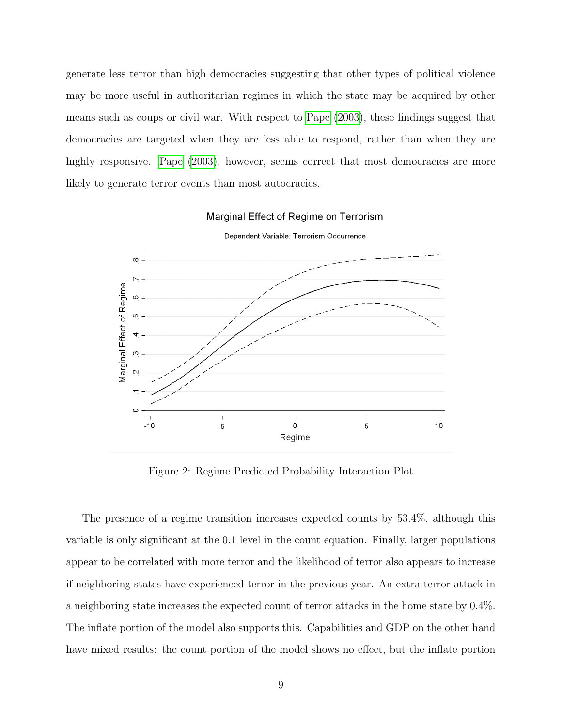generate less terror than high democracies suggesting that other types of political violence may be more useful in authoritarian regimes in which the state may be acquired by other means such as coups or civil war. With respect to [Pape](#page-14-6) [\(2003\)](#page-14-6), these findings suggest that democracies are targeted when they are less able to respond, rather than when they are highly responsive. [Pape](#page-14-6)  $(2003)$ , however, seems correct that most democracies are more likely to generate terror events than most autocracies.



<span id="page-9-0"></span>Figure 2: Regime Predicted Probability Interaction Plot

The presence of a regime transition increases expected counts by 53.4%, although this variable is only significant at the 0.1 level in the count equation. Finally, larger populations appear to be correlated with more terror and the likelihood of terror also appears to increase if neighboring states have experienced terror in the previous year. An extra terror attack in a neighboring state increases the expected count of terror attacks in the home state by 0.4%. The inflate portion of the model also supports this. Capabilities and GDP on the other hand have mixed results: the count portion of the model shows no effect, but the inflate portion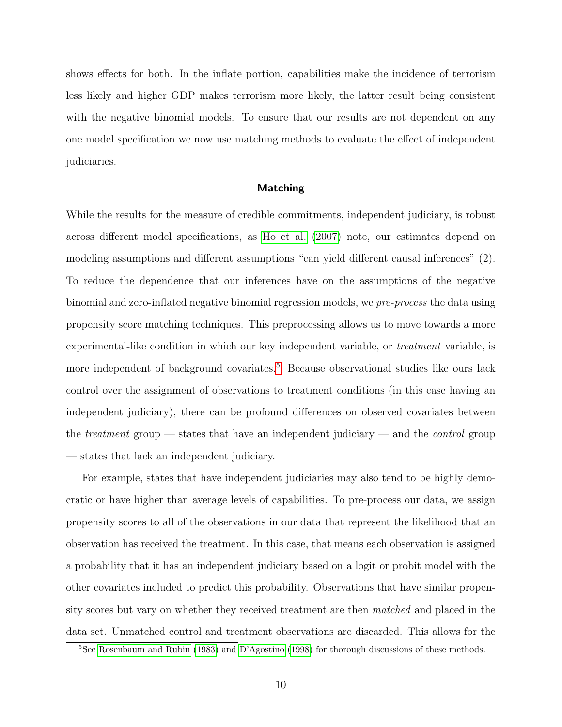shows effects for both. In the inflate portion, capabilities make the incidence of terrorism less likely and higher GDP makes terrorism more likely, the latter result being consistent with the negative binomial models. To ensure that our results are not dependent on any one model specification we now use matching methods to evaluate the effect of independent judiciaries.

#### Matching

While the results for the measure of credible commitments, independent judiciary, is robust across different model specifications, as [Ho et al.](#page-13-6) [\(2007\)](#page-13-6) note, our estimates depend on modeling assumptions and different assumptions "can yield different causal inferences" (2). To reduce the dependence that our inferences have on the assumptions of the negative binomial and zero-inflated negative binomial regression models, we pre-process the data using propensity score matching techniques. This preprocessing allows us to move towards a more experimental-like condition in which our key independent variable, or *treatment* variable, is more independent of background covariates.<sup>[5](#page-10-0)</sup> Because observational studies like ours lack control over the assignment of observations to treatment conditions (in this case having an independent judiciary), there can be profound differences on observed covariates between the *treatment* group — states that have an independent judiciary — and the *control* group — states that lack an independent judiciary.

For example, states that have independent judiciaries may also tend to be highly democratic or have higher than average levels of capabilities. To pre-process our data, we assign propensity scores to all of the observations in our data that represent the likelihood that an observation has received the treatment. In this case, that means each observation is assigned a probability that it has an independent judiciary based on a logit or probit model with the other covariates included to predict this probability. Observations that have similar propensity scores but vary on whether they received treatment are then matched and placed in the data set. Unmatched control and treatment observations are discarded. This allows for the

<span id="page-10-0"></span><sup>5</sup>See [Rosenbaum and Rubin](#page-14-7) [\(1983\)](#page-14-7) and [D'Agostino](#page-13-7) [\(1998\)](#page-13-7) for thorough discussions of these methods.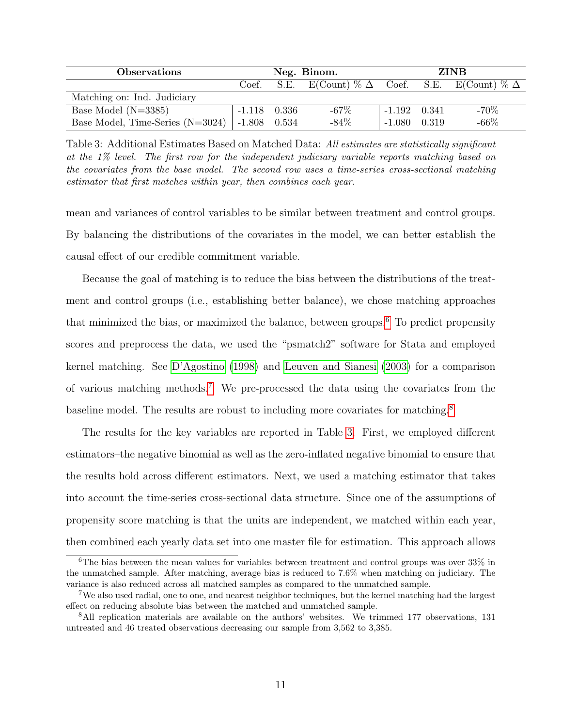| <b>Observations</b>                | Neg. Binom.    |  |                                                         | <b>ZINB</b>      |       |         |
|------------------------------------|----------------|--|---------------------------------------------------------|------------------|-------|---------|
|                                    | Coef.          |  | S.E. E(Count) % $\Delta$ Coef. S.E. E(Count) % $\Delta$ |                  |       |         |
| Matching on: Ind. Judiciary        |                |  |                                                         |                  |       |         |
| Base Model $(N=3385)$              | $-1.118$ 0.336 |  | $-67\%$                                                 | $-1.192$ $0.341$ |       | $-70\%$ |
| Base Model, Time-Series $(N=3024)$ | $-1.808$ 0.534 |  | $-84\%$                                                 | $-1.080$         | 0.319 | $-66\%$ |

<span id="page-11-3"></span>Table 3: Additional Estimates Based on Matched Data: All estimates are statistically significant at the 1% level. The first row for the independent judiciary variable reports matching based on the covariates from the base model. The second row uses a time-series cross-sectional matching estimator that first matches within year, then combines each year.

mean and variances of control variables to be similar between treatment and control groups. By balancing the distributions of the covariates in the model, we can better establish the causal effect of our credible commitment variable.

Because the goal of matching is to reduce the bias between the distributions of the treatment and control groups (i.e., establishing better balance), we chose matching approaches that minimized the bias, or maximized the balance, between groups.[6](#page-11-0) To predict propensity scores and preprocess the data, we used the "psmatch2" software for Stata and employed kernel matching. See [D'Agostino](#page-13-7) [\(1998\)](#page-13-7) and [Leuven and Sianesi](#page-13-8) [\(2003\)](#page-13-8) for a comparison of various matching methods.[7](#page-11-1) We pre-processed the data using the covariates from the baseline model. The results are robust to including more covariates for matching.<sup>[8](#page-11-2)</sup>

The results for the key variables are reported in Table [3.](#page-11-3) First, we employed different estimators–the negative binomial as well as the zero-inflated negative binomial to ensure that the results hold across different estimators. Next, we used a matching estimator that takes into account the time-series cross-sectional data structure. Since one of the assumptions of propensity score matching is that the units are independent, we matched within each year, then combined each yearly data set into one master file for estimation. This approach allows

<span id="page-11-0"></span> $6$ The bias between the mean values for variables between treatment and control groups was over  $33\%$  in the unmatched sample. After matching, average bias is reduced to 7.6% when matching on judiciary. The variance is also reduced across all matched samples as compared to the unmatched sample.

<span id="page-11-1"></span><sup>&</sup>lt;sup>7</sup>We also used radial, one to one, and nearest neighbor techniques, but the kernel matching had the largest effect on reducing absolute bias between the matched and unmatched sample.

<span id="page-11-2"></span><sup>8</sup>All replication materials are available on the authors' websites. We trimmed 177 observations, 131 untreated and 46 treated observations decreasing our sample from 3,562 to 3,385.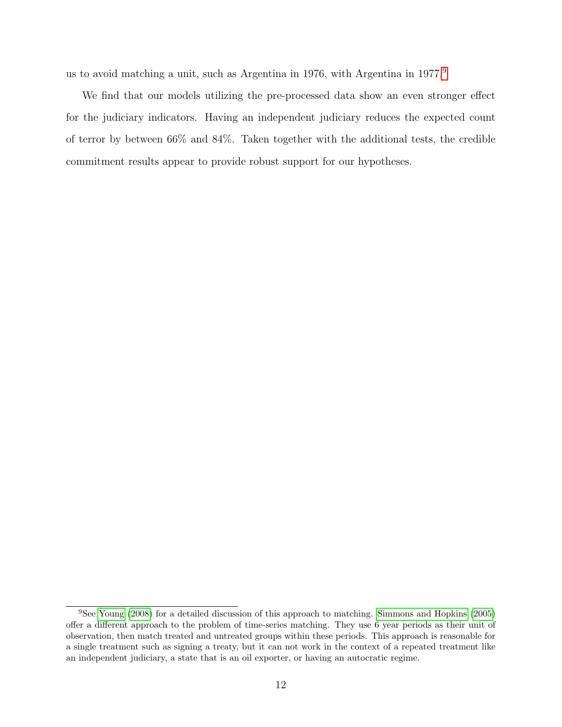us to avoid matching a unit, such as Argentina in 1[9](#page-12-0)76, with Argentina in 1977.<sup>9</sup>

We find that our models utilizing the pre-processed data show an even stronger effect for the judiciary indicators. Having an independent judiciary reduces the expected count of terror by between 66% and 84%. Taken together with the additional tests, the credible commitment results appear to provide robust support for our hypotheses.

<span id="page-12-0"></span><sup>9</sup>See [Young](#page-14-8) [\(2008\)](#page-14-8) for a detailed discussion of this approach to matching. [Simmons and Hopkins](#page-14-9) [\(2005\)](#page-14-9) offer a different approach to the problem of time-series matching. They use 6 year periods as their unit of observation, then match treated and untreated groups within these periods. This approach is reasonable for a single treatment such as signing a treaty, but it can not work in the context of a repeated treatment like an independent judiciary, a state that is an oil exporter, or having an autocratic regime.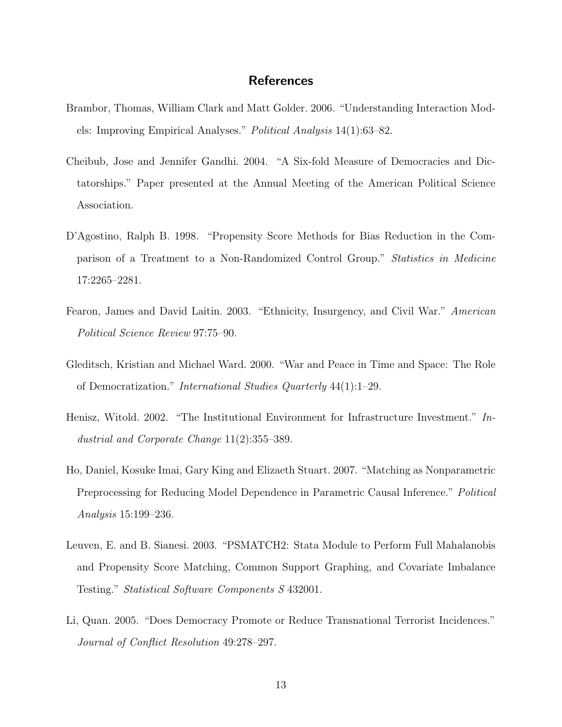## **References**

- <span id="page-13-5"></span>Brambor, Thomas, William Clark and Matt Golder. 2006. "Understanding Interaction Models: Improving Empirical Analyses." Political Analysis 14(1):63–82.
- <span id="page-13-1"></span>Cheibub, Jose and Jennifer Gandhi. 2004. "A Six-fold Measure of Democracies and Dictatorships." Paper presented at the Annual Meeting of the American Political Science Association.
- <span id="page-13-7"></span>D'Agostino, Ralph B. 1998. "Propensity Score Methods for Bias Reduction in the Comparison of a Treatment to a Non-Randomized Control Group." Statistics in Medicine 17:2265–2281.
- <span id="page-13-2"></span>Fearon, James and David Laitin. 2003. "Ethnicity, Insurgency, and Civil War." American Political Science Review 97:75–90.
- <span id="page-13-3"></span>Gleditsch, Kristian and Michael Ward. 2000. "War and Peace in Time and Space: The Role of Democratization." International Studies Quarterly 44(1):1–29.
- <span id="page-13-0"></span>Henisz, Witold. 2002. "The Institutional Environment for Infrastructure Investment." Industrial and Corporate Change 11(2):355–389.
- <span id="page-13-6"></span>Ho, Daniel, Kosuke Imai, Gary King and Elizaeth Stuart. 2007. "Matching as Nonparametric Preprocessing for Reducing Model Dependence in Parametric Causal Inference." Political Analysis 15:199–236.
- <span id="page-13-8"></span>Leuven, E. and B. Sianesi. 2003. "PSMATCH2: Stata Module to Perform Full Mahalanobis and Propensity Score Matching, Common Support Graphing, and Covariate Imbalance Testing." Statistical Software Components S 432001.
- <span id="page-13-4"></span>Li, Quan. 2005. "Does Democracy Promote or Reduce Transnational Terrorist Incidences." Journal of Conflict Resolution 49:278–297.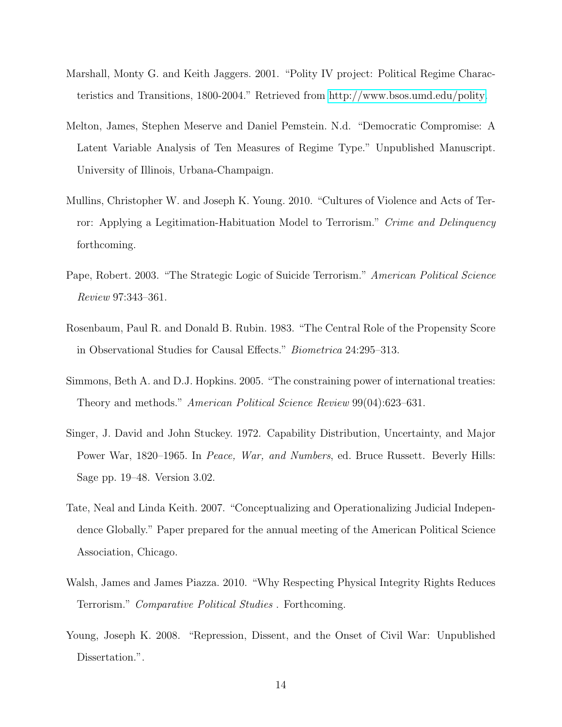- <span id="page-14-0"></span>Marshall, Monty G. and Keith Jaggers. 2001. "Polity IV project: Political Regime Characteristics and Transitions, 1800-2004." Retrieved from [http://www.bsos.umd.edu/polity.](http://www.bsos.umd.edu/polity)
- <span id="page-14-3"></span>Melton, James, Stephen Meserve and Daniel Pemstein. N.d. "Democratic Compromise: A Latent Variable Analysis of Ten Measures of Regime Type." Unpublished Manuscript. University of Illinois, Urbana-Champaign.
- <span id="page-14-5"></span>Mullins, Christopher W. and Joseph K. Young. 2010. "Cultures of Violence and Acts of Terror: Applying a Legitimation-Habituation Model to Terrorism." Crime and Delinquency forthcoming.
- <span id="page-14-6"></span>Pape, Robert. 2003. "The Strategic Logic of Suicide Terrorism." American Political Science Review 97:343–361.
- <span id="page-14-7"></span>Rosenbaum, Paul R. and Donald B. Rubin. 1983. "The Central Role of the Propensity Score in Observational Studies for Causal Effects." Biometrica 24:295–313.
- <span id="page-14-9"></span>Simmons, Beth A. and D.J. Hopkins. 2005. "The constraining power of international treaties: Theory and methods." American Political Science Review 99(04):623–631.
- <span id="page-14-1"></span>Singer, J. David and John Stuckey. 1972. Capability Distribution, Uncertainty, and Major Power War, 1820–1965. In *Peace, War, and Numbers*, ed. Bruce Russett. Beverly Hills: Sage pp. 19–48. Version 3.02.
- <span id="page-14-2"></span>Tate, Neal and Linda Keith. 2007. "Conceptualizing and Operationalizing Judicial Independence Globally." Paper prepared for the annual meeting of the American Political Science Association, Chicago.
- <span id="page-14-4"></span>Walsh, James and James Piazza. 2010. "Why Respecting Physical Integrity Rights Reduces Terrorism." Comparative Political Studies . Forthcoming.
- <span id="page-14-8"></span>Young, Joseph K. 2008. "Repression, Dissent, and the Onset of Civil War: Unpublished Dissertation.".